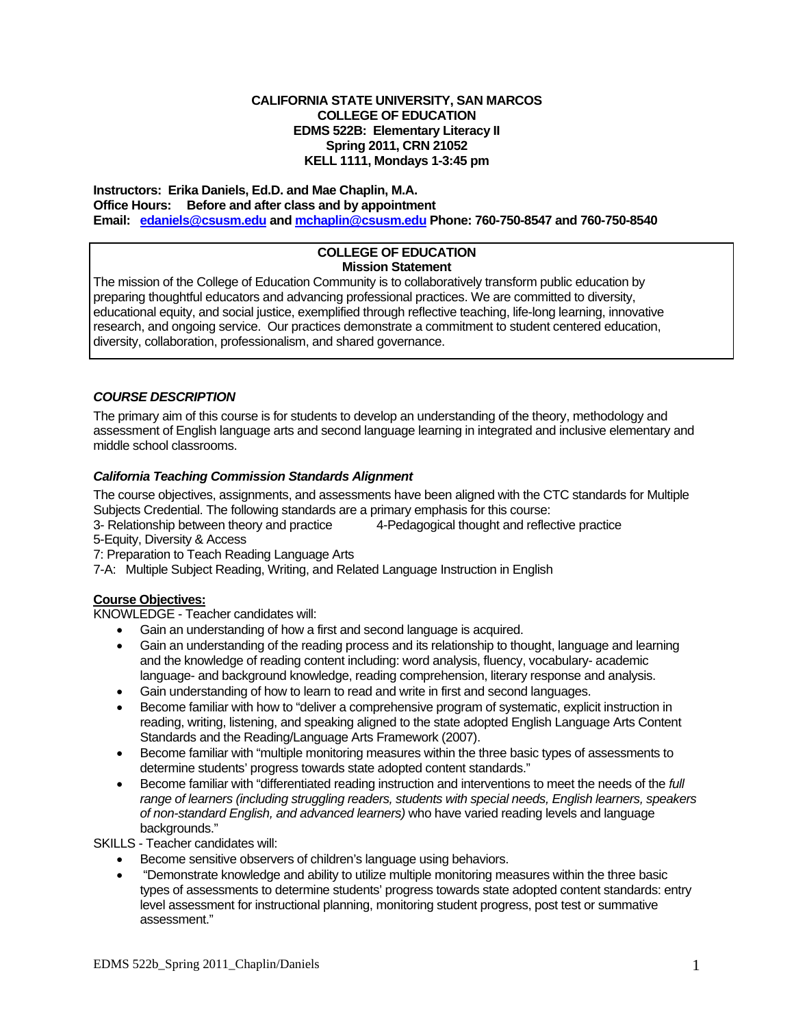#### **EDMS 522B: Elementary Literacy II CALIFORNIA STATE UNIVERSITY, SAN MARCOS COLLEGE OF EDUCATION Spring 2011, CRN 21052 KELL 1111, Mondays 1-3:45 pm**

 **Office Hours: Before and after class and by appointment Instructors: Erika Daniels, Ed.D. and Mae Chaplin, M.A. Email: edaniels@csusm.edu and mchaplin@csusm.edu Phone: 760-750-8547 and 760-750-8540** 

## **COLLEGE OF EDUCATION Mission Statement**

 preparing thoughtful educators and advancing professional practices. We are committed to diversity, The mission of the College of Education Community is to collaboratively transform public education by educational equity, and social justice, exemplified through reflective teaching, life-long learning, innovative research, and ongoing service. Our practices demonstrate a commitment to student centered education, diversity, collaboration, professionalism, and shared governance.

## *COURSE DESCRIPTION*

The primary aim of this course is for students to develop an understanding of the theory, methodology and assessment of English language arts and second language learning in integrated and inclusive elementary and middle school classrooms.

## *California Teaching Commission Standards Alignment*

 Subjects Credential. The following standards are a primary emphasis for this course: The course objectives, assignments, and assessments have been aligned with the CTC standards for Multiple

3- Relationship between theory and practice 4-Pedagogical thought and reflective practice

5-Equity, Diversity & Access

7: Preparation to Teach Reading Language Arts

7-A: Multiple Subject Reading, Writing, and Related Language Instruction in English

## **Course Objectives:**

KNOWLEDGE - Teacher candidates will:

- Gain an understanding of how a first and second language is acquired.
- Gain an understanding of the reading process and its relationship to thought, language and learning and the knowledge of reading content including: word analysis, fluency, vocabulary- academic language- and background knowledge, reading comprehension, literary response and analysis.
- Gain understanding of how to learn to read and write in first and second languages.
- Become familiar with how to "deliver a comprehensive program of systematic, explicit instruction in reading, writing, listening, and speaking aligned to the state adopted English Language Arts Content Standards and the Reading/Language Arts Framework (2007).
- Become familiar with "multiple monitoring measures within the three basic types of assessments to determine students' progress towards state adopted content standards."
- Become familiar with "differentiated reading instruction and interventions to meet the needs of the *full range of learners (including struggling readers, students with special needs, English learners, speakers of non-standard English, and advanced learners)* who have varied reading levels and language backgrounds."

SKILLS - Teacher candidates will:

- **Become sensitive observers of children's language using behaviors.**
- "Demonstrate knowledge and ability to utilize multiple monitoring measures within the three basic types of assessments to determine students' progress towards state adopted content standards: entry level assessment for instructional planning, monitoring student progress, post test or summative assessment."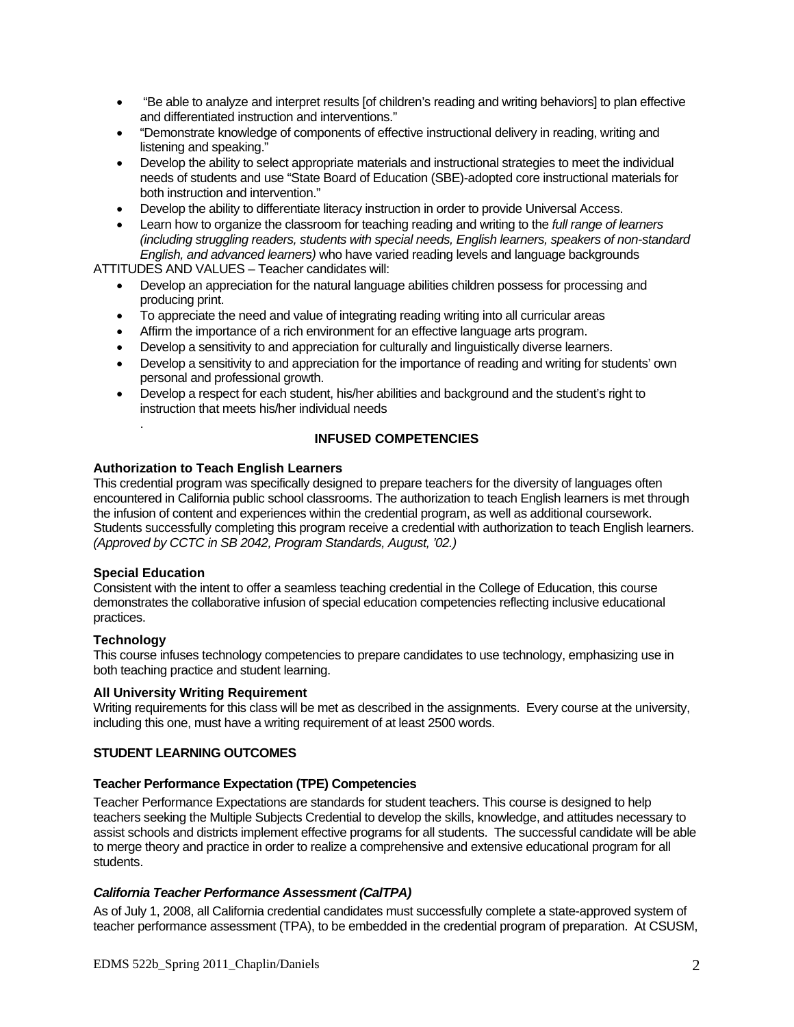- "Be able to analyze and interpret results [of children's reading and writing behaviors] to plan effective and differentiated instruction and interventions."
- "Demonstrate knowledge of components of effective instructional delivery in reading, writing and listening and speaking."
- Develop the ability to select appropriate materials and instructional strategies to meet the individual needs of students and use "State Board of Education (SBE)-adopted core instructional materials for both instruction and intervention."
- Develop the ability to differentiate literacy instruction in order to provide Universal Access.
- Learn how to organize the classroom for teaching reading and writing to the *full range of learners (including struggling readers, students with special needs, English learners, speakers of non-standard English, and advanced learners)* who have varied reading levels and language backgrounds

ATTITUDES AND VALUES – Teacher candidates will:

- Develop an appreciation for the natural language abilities children possess for processing and producing print.
- To appreciate the need and value of integrating reading writing into all curricular areas
- Affirm the importance of a rich environment for an effective language arts program.
- Develop a sensitivity to and appreciation for culturally and linguistically diverse learners.
- Develop a sensitivity to and appreciation for the importance of reading and writing for students' own personal and professional growth.
- Develop a respect for each student, his/her abilities and background and the student's right to instruction that meets his/her individual needs

## **INFUSED COMPETENCIES**

### **Authorization to Teach English Learners**

This credential program was specifically designed to prepare teachers for the diversity of languages often encountered in California public school classrooms. The authorization to teach English learners is met through the infusion of content and experiences within the credential program, as well as additional coursework. Students successfully completing this program receive a credential with authorization to teach English learners. *(Approved by CCTC in SB 2042, Program Standards, August, '02.)* 

### **Special Education**

.

Consistent with the intent to offer a seamless teaching credential in the College of Education, this course demonstrates the collaborative infusion of special education competencies reflecting inclusive educational practices.

### **Technology**

This course infuses technology competencies to prepare candidates to use technology, emphasizing use in both teaching practice and student learning.

## **All University Writing Requirement**

Writing requirements for this class will be met as described in the assignments. Every course at the university, including this one, must have a writing requirement of at least 2500 words.

### **STUDENT LEARNING OUTCOMES**

### **Teacher Performance Expectation (TPE) Competencies**

Teacher Performance Expectations are standards for student teachers. This course is designed to help teachers seeking the Multiple Subjects Credential to develop the skills, knowledge, and attitudes necessary to assist schools and districts implement effective programs for all students. The successful candidate will be able to merge theory and practice in order to realize a comprehensive and extensive educational program for all students.

### *California Teacher Performance Assessment (CalTPA)*

As of July 1, 2008, all California credential candidates must successfully complete a state-approved system of teacher performance assessment (TPA), to be embedded in the credential program of preparation. At CSUSM,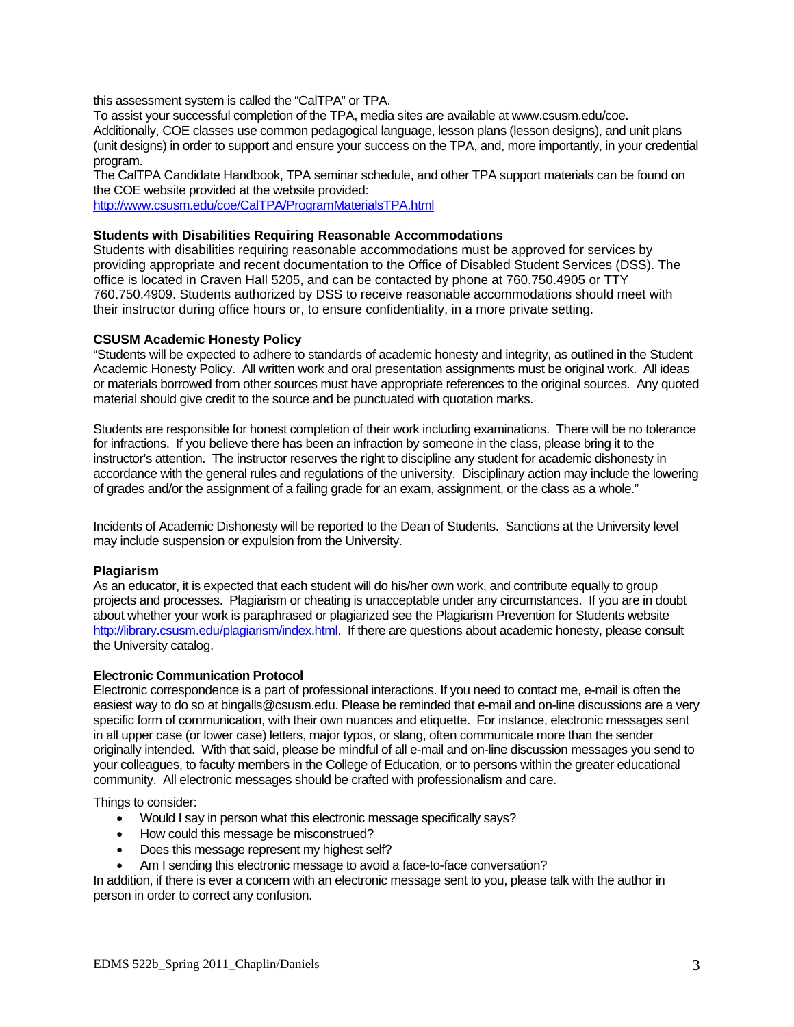this assessment system is called the "CalTPA" or TPA.

To assist your successful completion of the TPA, media sites are available at www.csusm.edu/coe. Additionally, COE classes use common pedagogical language, lesson plans (lesson designs), and unit plans (unit designs) in order to support and ensure your success on the TPA, and, more importantly, in your credential program.

The CalTPA Candidate Handbook, TPA seminar schedule, and other TPA support materials can be found on the COE website provided at the website provided:

http://www.csusm.edu/coe/CalTPA/ProgramMaterialsTPA.html

### **Students with Disabilities Requiring Reasonable Accommodations**

Students with disabilities requiring reasonable accommodations must be approved for services by providing appropriate and recent documentation to the Office of Disabled Student Services (DSS). The office is located in Craven Hall 5205, and can be contacted by phone at 760.750.4905 or TTY 760.750.4909. Students authorized by DSS to receive reasonable accommodations should meet with their instructor during office hours or, to ensure confidentiality, in a more private setting.

#### **CSUSM Academic Honesty Policy**

"Students will be expected to adhere to standards of academic honesty and integrity, as outlined in the Student Academic Honesty Policy. All written work and oral presentation assignments must be original work. All ideas or materials borrowed from other sources must have appropriate references to the original sources. Any quoted material should give credit to the source and be punctuated with quotation marks.

Students are responsible for honest completion of their work including examinations. There will be no tolerance for infractions. If you believe there has been an infraction by someone in the class, please bring it to the instructor's attention. The instructor reserves the right to discipline any student for academic dishonesty in accordance with the general rules and regulations of the university. Disciplinary action may include the lowering of grades and/or the assignment of a failing grade for an exam, assignment, or the class as a whole."

Incidents of Academic Dishonesty will be reported to the Dean of Students. Sanctions at the University level may include suspension or expulsion from the University.

### **Plagiarism**

 projects and processes. Plagiarism or cheating is unacceptable under any circumstances. If you are in doubt As an educator, it is expected that each student will do his/her own work, and contribute equally to group about whether your work is paraphrased or plagiarized see the Plagiarism Prevention for Students website http://library.csusm.edu/plagiarism/index.html. If there are questions about academic honesty, please consult the University catalog.

### **Electronic Communication Protocol**

Electronic correspondence is a part of professional interactions. If you need to contact me, e-mail is often the easiest way to do so at bingalls@csusm.edu. Please be reminded that e-mail and on-line discussions are a very specific form of communication, with their own nuances and etiquette. For instance, electronic messages sent in all upper case (or lower case) letters, major typos, or slang, often communicate more than the sender originally intended. With that said, please be mindful of all e-mail and on-line discussion messages you send to your colleagues, to faculty members in the College of Education, or to persons within the greater educational community. All electronic messages should be crafted with professionalism and care.

Things to consider:

- Would I say in person what this electronic message specifically says?
- How could this message be misconstrued?
- Does this message represent my highest self?
- Am I sending this electronic message to avoid a face-to-face conversation?

In addition, if there is ever a concern with an electronic message sent to you, please talk with the author in person in order to correct any confusion.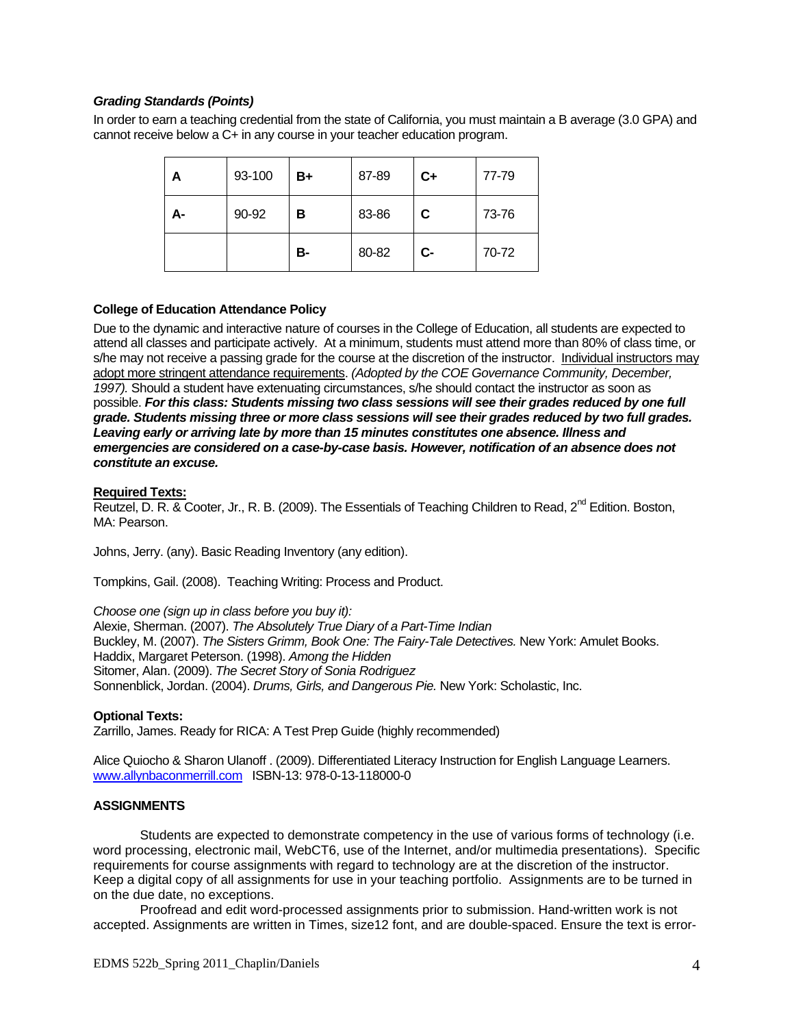## *Grading Standards (Points)*

In order to earn a teaching credential from the state of California, you must maintain a B average (3.0 GPA) and cannot receive below a C+ in any course in your teacher education program.

| А  | 93-100 | B+        | 87-89 | $C+$ | 77-79 |
|----|--------|-----------|-------|------|-------|
| А- | 90-92  | в         | 83-86 | C    | 73-76 |
|    |        | <b>B-</b> | 80-82 | $C-$ | 70-72 |

### **College of Education Attendance Policy**

Due to the dynamic and interactive nature of courses in the College of Education, all students are expected to attend all classes and participate actively. At a minimum, students must attend more than 80% of class time, or s/he may not receive a passing grade for the course at the discretion of the instructor. Individual instructors may adopt more stringent attendance requirements. *(Adopted by the COE Governance Community, December, 1997).* Should a student have extenuating circumstances, s/he should contact the instructor as soon as possible. *For this class: Students missing two class sessions will see their grades reduced by one full grade. Students missing three or more class sessions will see their grades reduced by two full grades. Leaving early or arriving late by more than 15 minutes constitutes one absence. Illness and emergencies are considered on a case-by-case basis. However, notification of an absence does not constitute an excuse.* 

#### **Required Texts:**

Reutzel, D. R. & Cooter, Jr., R. B. (2009). The Essentials of Teaching Children to Read, 2<sup>nd</sup> Edition. Boston, MA: Pearson.

Johns, Jerry. (any). Basic Reading Inventory (any edition).

Tompkins, Gail. (2008). Teaching Writing: Process and Product.

*Choose one (sign up in class before you buy it):*

Alexie, Sherman. (2007). *The Absolutely True Diary of a Part-Time Indian* Buckley, M. (2007). *The Sisters Grimm, Book One: The Fairy-Tale Detectives.* New York: Amulet Books. Haddix, Margaret Peterson. (1998). *Among the Hidden* Sitomer, Alan. (2009). *The Secret Story of Sonia Rodriguez* Sonnenblick, Jordan. (2004). *Drums, Girls, and Dangerous Pie.* New York: Scholastic, Inc.

#### **Optional Texts:**

Zarrillo, James. Ready for RICA: A Test Prep Guide (highly recommended)

Alice Quiocho & Sharon Ulanoff . (2009). Differentiated Literacy Instruction for English Language Learners. www.allynbaconmerrill.com ISBN-13: 978-0-13-118000-0

#### **ASSIGNMENTS**

Students are expected to demonstrate competency in the use of various forms of technology (i.e. word processing, electronic mail, WebCT6, use of the Internet, and/or multimedia presentations). Specific requirements for course assignments with regard to technology are at the discretion of the instructor. Keep a digital copy of all assignments for use in your teaching portfolio. Assignments are to be turned in on the due date, no exceptions.

Proofread and edit word-processed assignments prior to submission. Hand-written work is not accepted. Assignments are written in Times, size12 font, and are double-spaced. Ensure the text is error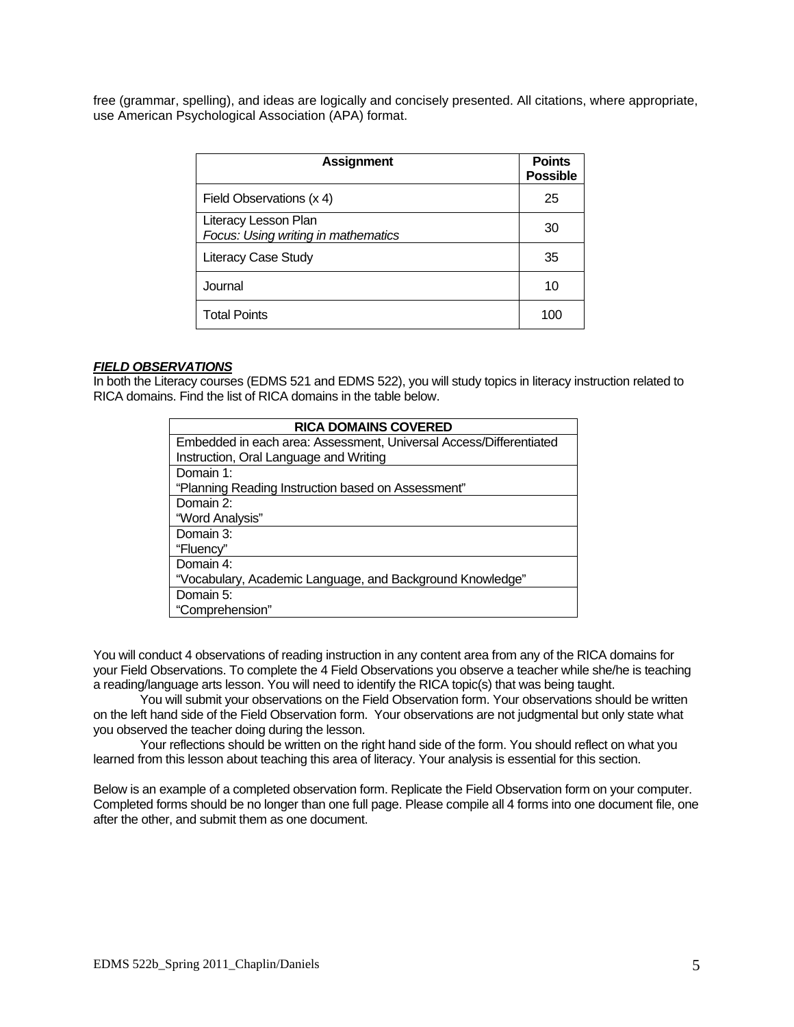free (grammar, spelling), and ideas are logically and concisely presented. All citations, where appropriate, use American Psychological Association (APA) format.

| <b>Assignment</b>                                           | <b>Points</b><br><b>Possible</b> |
|-------------------------------------------------------------|----------------------------------|
| Field Observations (x 4)                                    | 25                               |
| Literacy Lesson Plan<br>Focus: Using writing in mathematics | 30                               |
| <b>Literacy Case Study</b>                                  | 35                               |
| Journal                                                     | 10                               |
| <b>Total Points</b>                                         | 100                              |

## *FIELD OBSERVATIONS*

In both the Literacy courses (EDMS 521 and EDMS 522), you will study topics in literacy instruction related to RICA domains. Find the list of RICA domains in the table below.

| <b>RICA DOMAINS COVERED</b>                                        |  |  |  |  |
|--------------------------------------------------------------------|--|--|--|--|
| Embedded in each area: Assessment, Universal Access/Differentiated |  |  |  |  |
| Instruction, Oral Language and Writing                             |  |  |  |  |
| Domain 1:                                                          |  |  |  |  |
| "Planning Reading Instruction based on Assessment"                 |  |  |  |  |
| Domain 2:                                                          |  |  |  |  |
| "Word Analysis"                                                    |  |  |  |  |
| Domain 3:                                                          |  |  |  |  |
| "Fluency"                                                          |  |  |  |  |
| Domain 4:                                                          |  |  |  |  |
| "Vocabulary, Academic Language, and Background Knowledge"          |  |  |  |  |
| Domain 5:                                                          |  |  |  |  |
| "Comprehension"                                                    |  |  |  |  |

You will conduct 4 observations of reading instruction in any content area from any of the RICA domains for your Field Observations. To complete the 4 Field Observations you observe a teacher while she/he is teaching a reading/language arts lesson. You will need to identify the RICA topic(s) that was being taught.

You will submit your observations on the Field Observation form. Your observations should be written on the left hand side of the Field Observation form. Your observations are not judgmental but only state what you observed the teacher doing during the lesson.

 Your reflections should be written on the right hand side of the form. You should reflect on what you learned from this lesson about teaching this area of literacy. Your analysis is essential for this section.

Below is an example of a completed observation form. Replicate the Field Observation form on your computer. Completed forms should be no longer than one full page. Please compile all 4 forms into one document file, one after the other, and submit them as one document.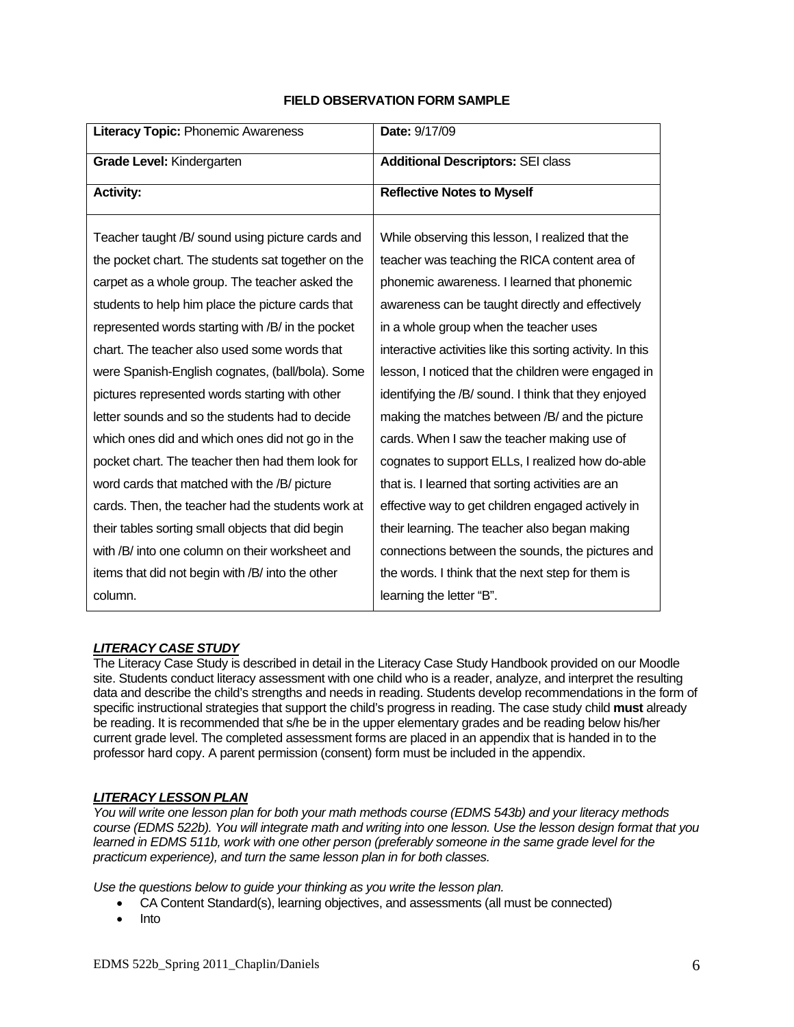## **FIELD OBSERVATION FORM SAMPLE**

| Literacy Topic: Phonemic Awareness                 | Date: 9/17/09                                              |  |
|----------------------------------------------------|------------------------------------------------------------|--|
| Grade Level: Kindergarten                          | <b>Additional Descriptors: SEI class</b>                   |  |
| <b>Activity:</b>                                   | <b>Reflective Notes to Myself</b>                          |  |
| Teacher taught /B/ sound using picture cards and   | While observing this lesson, I realized that the           |  |
| the pocket chart. The students sat together on the | teacher was teaching the RICA content area of              |  |
| carpet as a whole group. The teacher asked the     | phonemic awareness. I learned that phonemic                |  |
| students to help him place the picture cards that  | awareness can be taught directly and effectively           |  |
| represented words starting with /B/ in the pocket  | in a whole group when the teacher uses                     |  |
| chart. The teacher also used some words that       | interactive activities like this sorting activity. In this |  |
| were Spanish-English cognates, (ball/bola). Some   | lesson, I noticed that the children were engaged in        |  |
| pictures represented words starting with other     | identifying the /B/ sound. I think that they enjoyed       |  |
| letter sounds and so the students had to decide    | making the matches between /B/ and the picture             |  |
| which ones did and which ones did not go in the    | cards. When I saw the teacher making use of                |  |
| pocket chart. The teacher then had them look for   | cognates to support ELLs, I realized how do-able           |  |
| word cards that matched with the /B/ picture       | that is. I learned that sorting activities are an          |  |
| cards. Then, the teacher had the students work at  | effective way to get children engaged actively in          |  |
| their tables sorting small objects that did begin  | their learning. The teacher also began making              |  |
| with /B/ into one column on their worksheet and    | connections between the sounds, the pictures and           |  |
| items that did not begin with /B/ into the other   | the words. I think that the next step for them is          |  |
| column.                                            | learning the letter "B".                                   |  |

# *LITERACY CASE STUDY*

The Literacy Case Study is described in detail in the Literacy Case Study Handbook provided on our Moodle site. Students conduct literacy assessment with one child who is a reader, analyze, and interpret the resulting data and describe the child's strengths and needs in reading. Students develop recommendations in the form of specific instructional strategies that support the child's progress in reading. The case study child **must** already be reading. It is recommended that s/he be in the upper elementary grades and be reading below his/her current grade level. The completed assessment forms are placed in an appendix that is handed in to the professor hard copy. A parent permission (consent) form must be included in the appendix.

# *LITERACY LESSON PLAN*

*You will write one lesson plan for both your math methods course (EDMS 543b) and your literacy methods course (EDMS 522b). You will integrate math and writing into one lesson. Use the lesson design format that you*  learned in EDMS 511b, work with one other person (preferably someone in the same grade level for the *practicum experience), and turn the same lesson plan in for both classes.* 

*Use the questions below to guide your thinking as you write the lesson plan.* 

- CA Content Standard(s), learning objectives, and assessments (all must be connected)
- $\bullet$  Into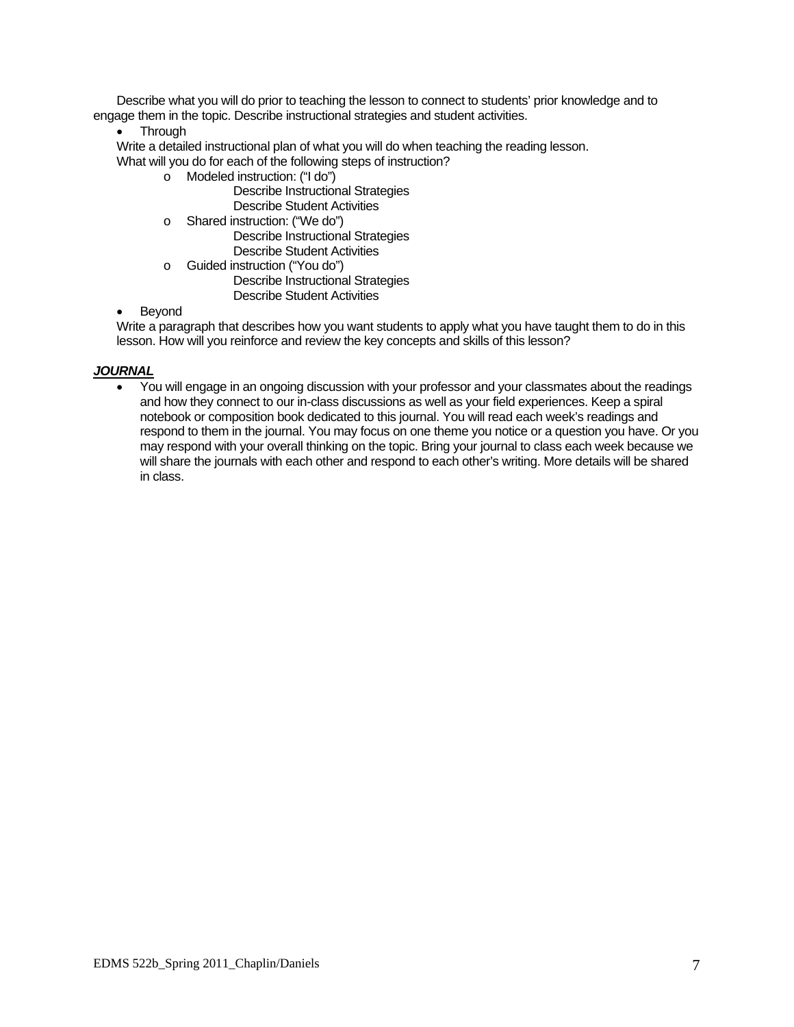Describe what you will do prior to teaching the lesson to connect to students' prior knowledge and to engage them in the topic. Describe instructional strategies and student activities.

• Through

Write a detailed instructional plan of what you will do when teaching the reading lesson. What will you do for each of the following steps of instruction?

o Modeled instruction: ("I do")

Describe Instructional Strategies Describe Student Activities

o Shared instruction: ("We do")

Describe Instructional Strategies Describe Student Activities

o Guided instruction ("You do") Describe Instructional Strategies Describe Student Activities

## Beyond

Write a paragraph that describes how you want students to apply what you have taught them to do in this lesson. How will you reinforce and review the key concepts and skills of this lesson?

## *JOURNAL*

 You will engage in an ongoing discussion with your professor and your classmates about the readings and how they connect to our in-class discussions as well as your field experiences. Keep a spiral notebook or composition book dedicated to this journal. You will read each week's readings and respond to them in the journal. You may focus on one theme you notice or a question you have. Or you may respond with your overall thinking on the topic. Bring your journal to class each week because we will share the journals with each other and respond to each other's writing. More details will be shared in class.